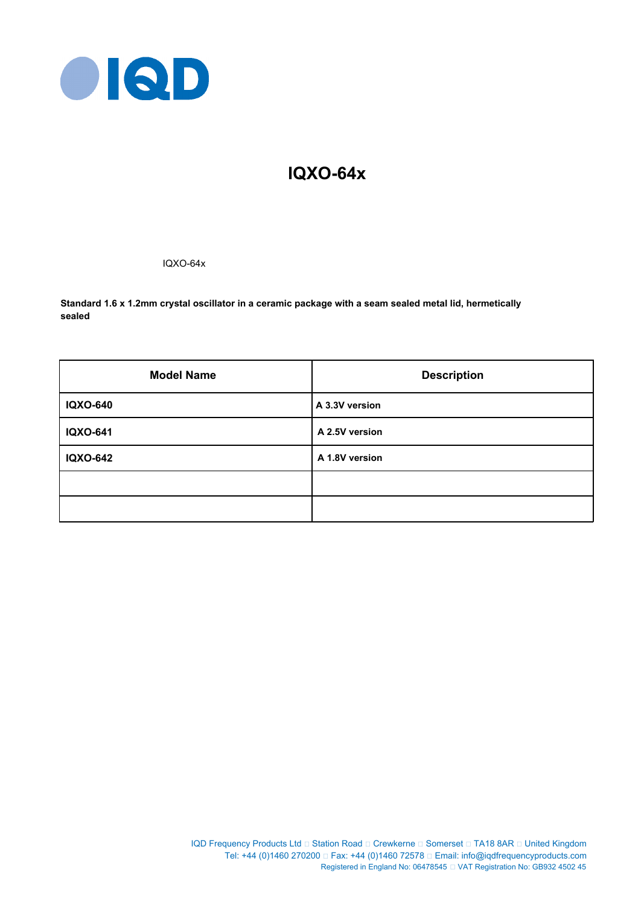

# **IQXO-64x**

IQXO-64x

**Standard 1.6 x 1.2mm crystal oscillator in a ceramic package with a seam sealed metal lid, hermetically sealed**

| <b>Model Name</b> | <b>Description</b> |
|-------------------|--------------------|
| <b>IQXO-640</b>   | A 3.3V version     |
| <b>IQXO-641</b>   | A 2.5V version     |
| <b>IQXO-642</b>   | A 1.8V version     |
|                   |                    |
|                   |                    |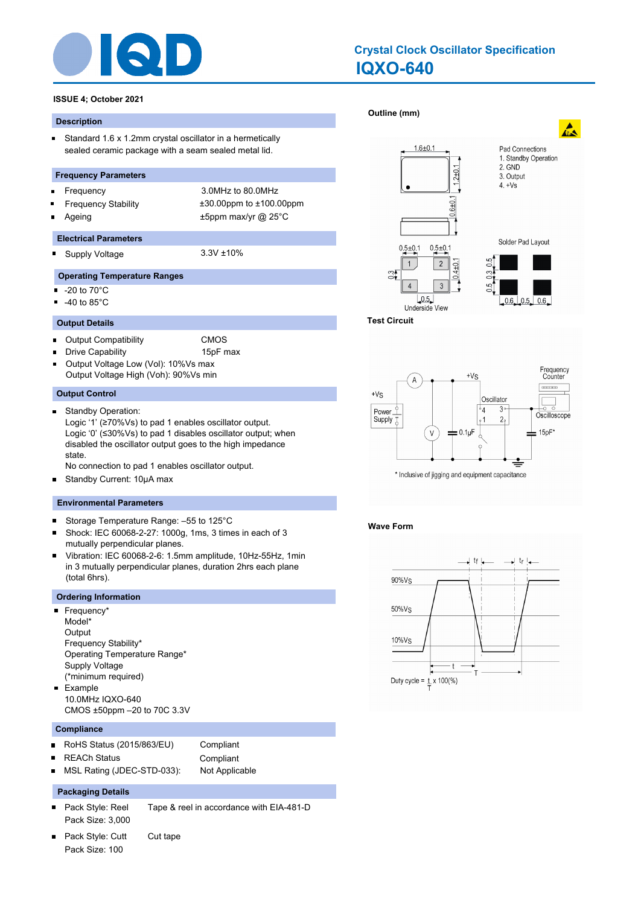

# **IQXO-640 Crystal Clock Oscillator Specification**

# **ISSUE 4; October 2021**

#### **Description**

 $\blacksquare$ Standard 1.6 x 1.2mm crystal oscillator in a hermetically sealed ceramic package with a seam sealed metal lid.

#### **Frequency Parameters**

- Frequency 3.0MHz to 80.0MHz  $\blacksquare$
- 
- 

Frequency Stability ±30.00ppm to ±100.00ppm Ageing  $\pm$ 5ppm max/yr @ 25°C

#### **Electrical Parameters**

Supply Voltage 3.3V ±10% n.

#### **Operating Temperature Ranges**

- $\blacksquare$ -20 to 70°C
- -40 to 85°C  $\blacksquare$

#### **Output Details**

- Output Compatibility CMOS  $\blacksquare$
- Drive Capability **15pF** max
- Output Voltage Low (Vol): 10%Vs max Output Voltage High (Voh): 90%Vs min

#### **Output Control**

 $\blacksquare$ Standby Operation: Logic '1' (≥70%Vs) to pad 1 enables oscillator output. Logic '0' (≤30%Vs) to pad 1 disables oscillator output; when disabled the oscillator output goes to the high impedance state.

No connection to pad 1 enables oscillator output.

Standby Current: 10μA max  $\blacksquare$ 

#### **Environmental Parameters**

- $\blacksquare$ Storage Temperature Range: –55 to 125°C
- Shock: IEC 60068-2-27: 1000g, 1ms, 3 times in each of 3 mutually perpendicular planes.
- Vibration: IEC 60068-2-6: 1.5mm amplitude, 10Hz-55Hz, 1min in 3 mutually perpendicular planes, duration 2hrs each plane (total 6hrs).

#### **Ordering Information**

- Frequency\* Model\* **Output** Frequency Stability\* Operating Temperature Range\* Supply Voltage (\*minimum required) **Example** 10.0MHz IQXO-640
	- CMOS ±50ppm –20 to 70C 3.3V

# **Compliance**

- RoHS Status (2015/863/EU) Compliant  $\blacksquare$ 
	- REACh Status **Compliant**
- MSL Rating (JDEC-STD-033): Not Applicable п

# **Packaging Details**

- Pack Style: Reel Tape & reel in accordance with EIA-481-D  $\blacksquare$ Pack Size: 3,000
- Pack Style: Cutt Cut tape Pack Size: 100







#### **Wave Form**

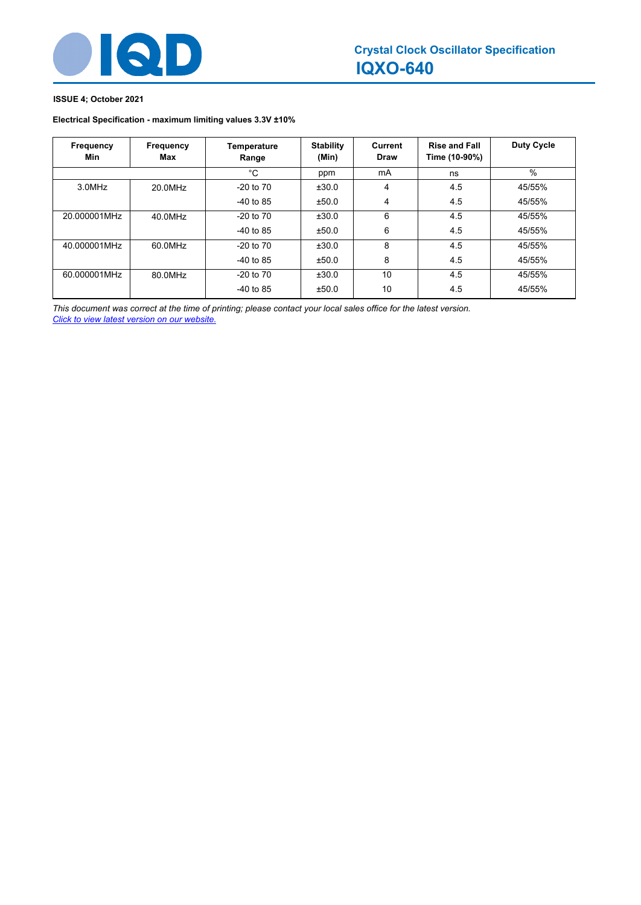

# **ISSUE 4; October 2021**

# **Electrical Specification - maximum limiting values 3.3V ±10%**

| Frequency<br>Min | Frequency<br>Max | Temperature<br>Range | <b>Stability</b><br>(Min) | Current<br>Draw | <b>Rise and Fall</b><br>Time (10-90%) | <b>Duty Cycle</b> |
|------------------|------------------|----------------------|---------------------------|-----------------|---------------------------------------|-------------------|
|                  |                  | °C                   | ppm                       | mA              | ns                                    | %                 |
| 3.0MHz           | 20.0MHz          | $-20$ to $70$        | ±30.0                     | 4               | 4.5                                   | 45/55%            |
|                  |                  | $-40$ to 85          | ±50.0                     | 4               | 4.5                                   | 45/55%            |
| 20.000001MHz     | 40.0MHz          | $-20$ to $70$        | ±30.0                     | 6               | 4.5                                   | 45/55%            |
|                  |                  | $-40$ to 85          | ±50.0                     | 6               | 4.5                                   | 45/55%            |
| 40.000001MHz     | 60.0MHz          | $-20$ to $70$        | ±30.0                     | 8               | 4.5                                   | 45/55%            |
|                  |                  | $-40$ to 85          | ±50.0                     | 8               | 4.5                                   | 45/55%            |
| 60.000001MHz     | 80.0MHz          | $-20$ to $70$        | ±30.0                     | 10              | 4.5                                   | 45/55%            |
|                  |                  | $-40$ to 85          | ±50.0                     | 10              | 4.5                                   | 45/55%            |

*This document was correct at the time of printing; please contact your local sales office for the latest version. Click to view latest version on our website.*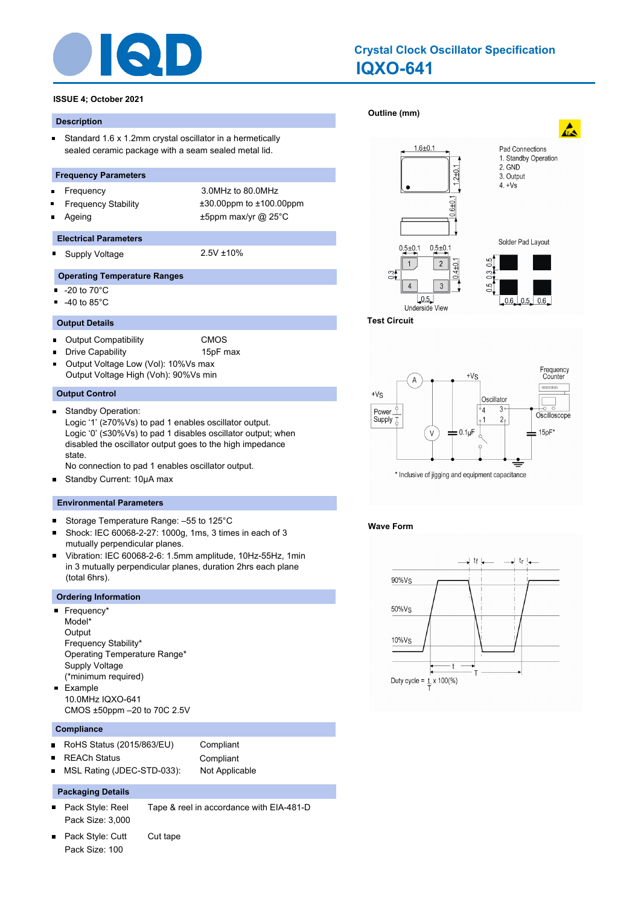

# **IQXO-641 Crystal Clock Oscillator Specification**

# **ISSUE 4; October 2021**

#### **Description**

 $\blacksquare$ Standard 1.6 x 1.2mm crystal oscillator in a hermetically sealed ceramic package with a seam sealed metal lid.

#### **Frequency Parameters**

- Frequency 3.0MHz to 80.0MHz  $\blacksquare$
- 
- 

Frequency Stability ±30.00ppm to ±100.00ppm Ageing  $\pm$ 5ppm max/yr @ 25°C

#### **Electrical Parameters**

Supply Voltage 2.5V ±10% n.

#### **Operating Temperature Ranges**

- $\blacksquare$ -20 to 70°C
- -40 to 85°C  $\blacksquare$

#### **Output Details**

- Output Compatibility CMOS  $\blacksquare$
- Drive Capability **15pF** max
- Output Voltage Low (Vol): 10%Vs max Output Voltage High (Voh): 90%Vs min

#### **Output Control**

 $\blacksquare$ Standby Operation: Logic '1' (≥70%Vs) to pad 1 enables oscillator output. Logic '0' (≤30%Vs) to pad 1 disables oscillator output; when disabled the oscillator output goes to the high impedance state.

No connection to pad 1 enables oscillator output.

Standby Current: 10μA max  $\blacksquare$ 

#### **Environmental Parameters**

- $\blacksquare$ Storage Temperature Range: –55 to 125°C
- Shock: IEC 60068-2-27: 1000g, 1ms, 3 times in each of 3 mutually perpendicular planes.
- Vibration: IEC 60068-2-6: 1.5mm amplitude, 10Hz-55Hz, 1min in 3 mutually perpendicular planes, duration 2hrs each plane (total 6hrs).

#### **Ordering Information**

- Frequency\* Model\* **Output** Frequency Stability\* Operating Temperature Range\* Supply Voltage (\*minimum required) **Example** 10.0MHz IQXO-641
	- CMOS ±50ppm –20 to 70C 2.5V

# **Compliance**

- RoHS Status (2015/863/EU) Compliant  $\blacksquare$ 
	- REACh Status **Compliant**
- MSL Rating (JDEC-STD-033): Not Applicable п

# **Packaging Details**

- Pack Style: Reel Tape & reel in accordance with EIA-481-D  $\blacksquare$ Pack Size: 3,000
- Pack Style: Cutt Cut tape Pack Size: 100





#### **Wave Form**

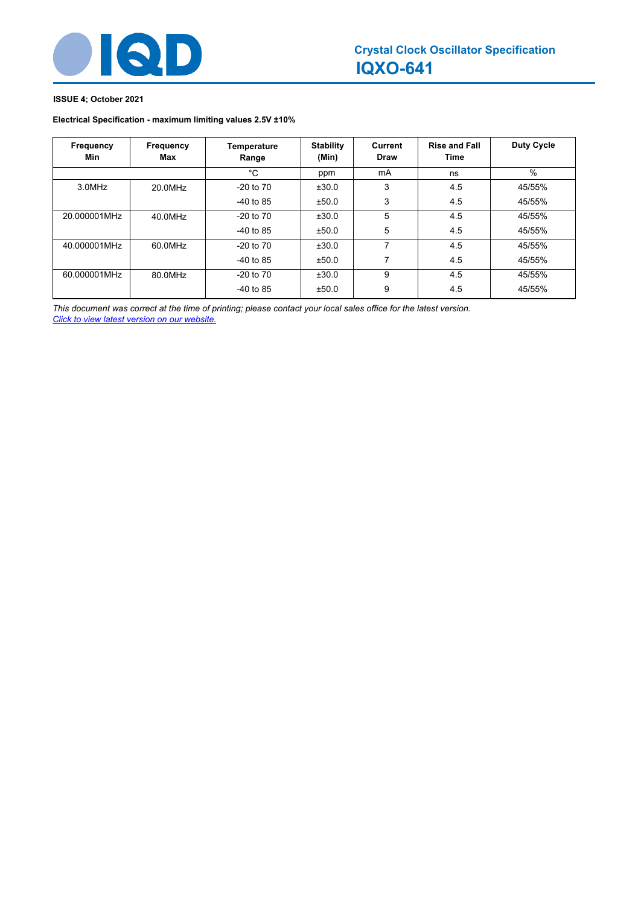

# **ISSUE 4; October 2021**

# **Electrical Specification - maximum limiting values 2.5V ±10%**

| Frequency<br>Min | Frequency<br>Max | Temperature<br>Range | <b>Stability</b><br>(Min) | Current<br><b>Draw</b> | <b>Rise and Fall</b><br>Time | <b>Duty Cycle</b> |
|------------------|------------------|----------------------|---------------------------|------------------------|------------------------------|-------------------|
|                  |                  | $^{\circ}$ C         | ppm                       | mA                     | ns                           | %                 |
| 3.0MHz           | 20.0MHz          | $-20$ to $70$        | ±30.0                     | 3                      | 4.5                          | 45/55%            |
|                  |                  | $-40$ to 85          | ±50.0                     | 3                      | 4.5                          | 45/55%            |
| 20.000001MHz     | 40.0MHz          | $-20$ to $70$        | ±30.0                     | 5                      | 4.5                          | 45/55%            |
|                  |                  | $-40$ to 85          | ±50.0                     | 5                      | 4.5                          | 45/55%            |
| 40.000001MHz     | 60.0MHz          | $-20$ to $70$        | ±30.0                     | 7                      | 4.5                          | 45/55%            |
|                  |                  | $-40$ to 85          | ±50.0                     | 7                      | 4.5                          | 45/55%            |
| 60.000001MHz     | 80.0MHz          | $-20$ to $70$        | ±30.0                     | 9                      | 4.5                          | 45/55%            |
|                  |                  | $-40$ to 85          | ±50.0                     | 9                      | 4.5                          | 45/55%            |

*This document was correct at the time of printing; please contact your local sales office for the latest version. Click to view latest version on our website.*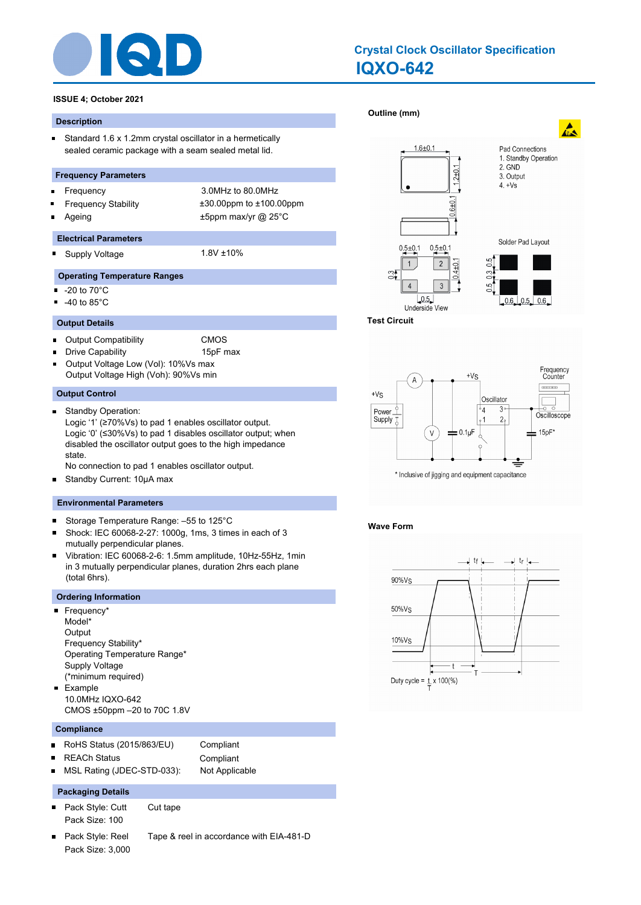

# **IQXO-642 Crystal Clock Oscillator Specification**

# **ISSUE 4; October 2021**

#### **Description**

 $\blacksquare$ Standard 1.6 x 1.2mm crystal oscillator in a hermetically sealed ceramic package with a seam sealed metal lid.

#### **Frequency Parameters**

- Frequency 3.0MHz to 80.0MHz  $\blacksquare$
- 
- 

Frequency Stability ±30.00ppm to ±100.00ppm Ageing  $\pm$ 5ppm max/yr @ 25°C

#### **Electrical Parameters**

Supply Voltage 1.8V ±10% n.

#### **Operating Temperature Ranges**

- $\blacksquare$ -20 to 70°C
- -40 to 85°C  $\blacksquare$

#### **Output Details**

- Output Compatibility CMOS  $\blacksquare$
- Drive Capability **15pF** max
- Output Voltage Low (Vol): 10%Vs max Output Voltage High (Voh): 90%Vs min

#### **Output Control**

 $\blacksquare$ Standby Operation: Logic '1' (≥70%Vs) to pad 1 enables oscillator output. Logic '0' (≤30%Vs) to pad 1 disables oscillator output; when disabled the oscillator output goes to the high impedance state.

No connection to pad 1 enables oscillator output.

Standby Current: 10μA max  $\blacksquare$ 

#### **Environmental Parameters**

- $\blacksquare$ Storage Temperature Range: –55 to 125°C
- Shock: IEC 60068-2-27: 1000g, 1ms, 3 times in each of 3 mutually perpendicular planes.
- Vibration: IEC 60068-2-6: 1.5mm amplitude, 10Hz-55Hz, 1min in 3 mutually perpendicular planes, duration 2hrs each plane (total 6hrs).

#### **Ordering Information**

- Frequency\* Model\* **Output** Frequency Stability\* Operating Temperature Range\* Supply Voltage (\*minimum required) **Example** 10.0MHz IQXO-642
	- CMOS ±50ppm –20 to 70C 1.8V

# **Compliance**

 $\blacksquare$ 

- RoHS Status (2015/863/EU) Compliant  $\blacksquare$ 
	- REACh Status **Compliant**
- MSL Rating (JDEC-STD-033): Not Applicable п

# **Packaging Details**

- Pack Style: Cutt Cut tape Pack Size: 100
- Pack Style: Reel Tape & reel in accordance with EIA-481-D Pack Size: 3,000







#### **Wave Form**